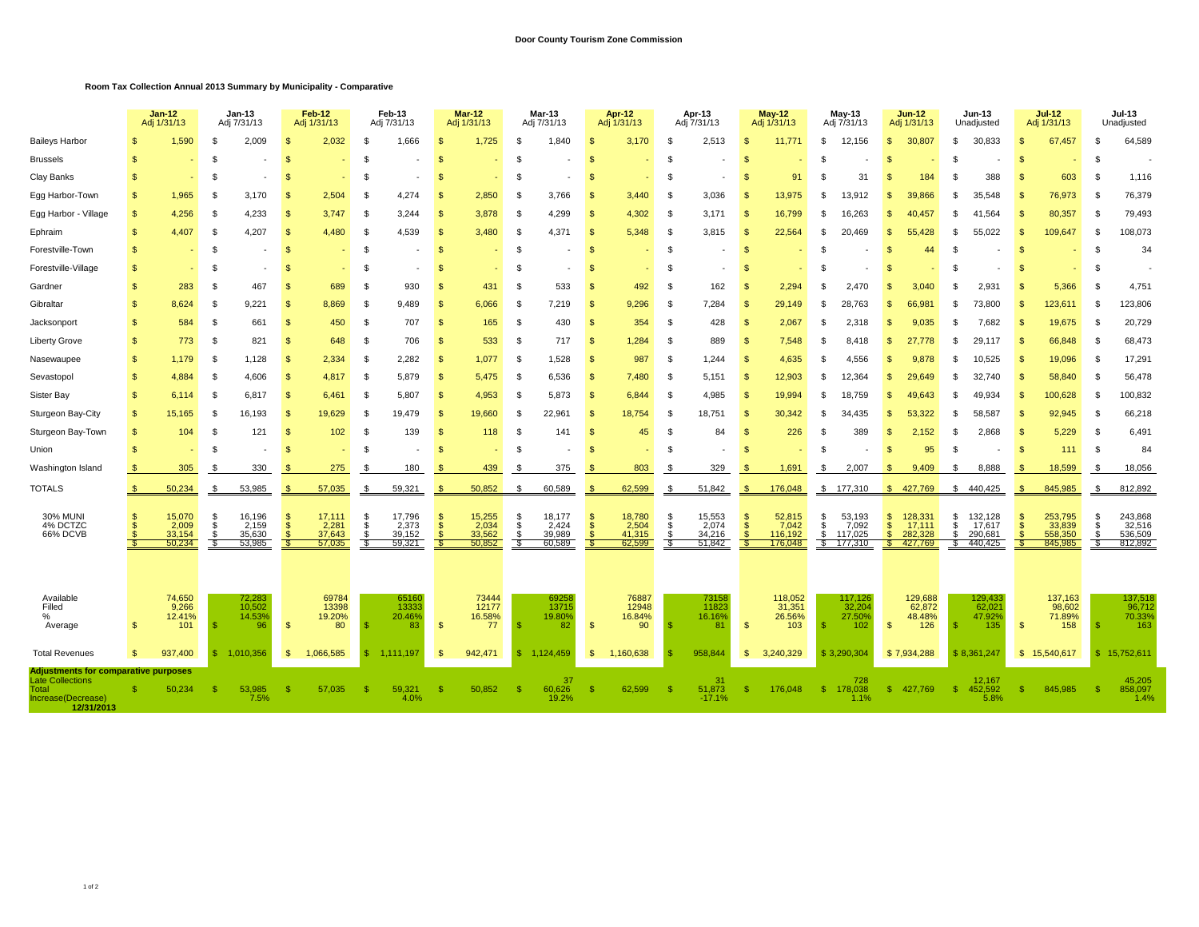## **Room Tax Collection Annual 2013 Summary by Municipality - Comparative**

|                                                                      |                   | $Jan-12$<br>Adj 1/31/13                     |                         | <b>Jan-13</b><br>Adj 7/31/13                  |                           | Feb-12<br>Adj 1/31/13                       |                           | Feb-13<br>Adj 7/31/13                       |                         | <b>Mar-12</b><br>Adj 1/31/13              |                          | <b>Mar-13</b><br>Adj 7/31/13                |                      | Apr-12<br>Adj 1/31/13                       |                          | Apr-13<br>Adj 7/31/13                     |                                            | $May-12$<br>Adj 1/31/13                         |                        | May-13<br>Adj 7/31/13                             |                                        | $Jun-12$<br>Adj 1/31/13                           |                | <b>Jun-13</b><br>Unadjusted                      |                    | $Jul-12$<br>Adj 1/31/13                            |                           | Jul-13<br>Unadjusted                             |  |
|----------------------------------------------------------------------|-------------------|---------------------------------------------|-------------------------|-----------------------------------------------|---------------------------|---------------------------------------------|---------------------------|---------------------------------------------|-------------------------|-------------------------------------------|--------------------------|---------------------------------------------|----------------------|---------------------------------------------|--------------------------|-------------------------------------------|--------------------------------------------|-------------------------------------------------|------------------------|---------------------------------------------------|----------------------------------------|---------------------------------------------------|----------------|--------------------------------------------------|--------------------|----------------------------------------------------|---------------------------|--------------------------------------------------|--|
| <b>Baileys Harbor</b>                                                | £.                | 1,590                                       | \$                      | 2,009                                         | <b>S</b>                  | 2,032                                       | -S                        | 1,666                                       | -\$                     | 1,725                                     | \$                       | 1,840                                       | <b>S</b>             | 3,170                                       | -\$                      | 2,513                                     | \$.                                        | 11,771                                          | \$.                    | 12,156                                            | $\mathbf{s}$                           | 30,807                                            | \$             | 30,833                                           | \$                 | 67,457                                             | - \$                      | 64,589                                           |  |
| <b>Brussels</b>                                                      | S                 |                                             | - \$                    |                                               | \$                        |                                             | - 95                      |                                             | -\$                     |                                           | £.                       |                                             | <b>S</b>             |                                             | \$                       |                                           | \$                                         |                                                 | \$                     |                                                   | \$.                                    |                                                   | S              |                                                  | - \$               |                                                    | -S                        |                                                  |  |
| Clay Banks                                                           | S                 |                                             | -\$                     | $\overline{\phantom{a}}$                      | <b>S</b>                  |                                             | \$                        |                                             | -\$                     | ٠                                         | -\$                      |                                             | <b>S</b>             |                                             | -\$                      |                                           | \$.                                        | 91                                              | \$                     | 31                                                | \$.                                    | 184                                               | £.             | 388                                              | -8                 | 603                                                | - \$                      | 1,116                                            |  |
| Egg Harbor-Town                                                      | S                 | 1,965                                       | -\$                     | 3,170                                         | <b>S</b>                  | 2,504                                       | - \$                      | 4,274                                       | $\mathbf{s}$            | 2,850                                     | - \$                     | 3,766                                       | \$                   | 3.440                                       | - \$                     | 3,036                                     | \$.                                        | 13,975                                          | S.                     | 13.912                                            | \$.                                    | 39.866                                            | -S             | 35.548                                           | - 96               | 76,973                                             | - \$                      | 76,379                                           |  |
| Egg Harbor - Village                                                 | $\mathbf{s}$      | 4.256                                       | -\$                     | 4,233                                         | <b>S</b>                  | 3.747                                       | -S                        | 3,244                                       | $\mathbf{s}$            | 3,878                                     | - \$                     | 4.299                                       | \$                   | 4,302                                       | - \$                     | 3.171                                     | -\$                                        | 16,799                                          | \$.                    | 16.263                                            | \$                                     | 40,457                                            | \$             | 41.564                                           |                    | 80,357                                             | - \$                      | 79,493                                           |  |
| Ephraim                                                              | S                 | 4.407                                       | - \$                    | 4,207                                         | -S                        | 4,480                                       | - 35                      | 4,539                                       | <sup>\$</sup>           | 3,480                                     | - \$                     | 4,371                                       | -S                   | 5,348                                       | - \$                     | 3,815                                     | - \$                                       | 22,564                                          | -\$                    | 20.469                                            | -\$                                    | 55.428                                            | -S             | 55.022                                           | - \$               | 109,647                                            | - \$                      | 108,073                                          |  |
| Forestville-Town                                                     | S                 |                                             | - \$                    | ٠                                             | - \$                      |                                             | - 35                      |                                             | - \$                    | ٠                                         | - \$                     |                                             | -S                   |                                             | - \$                     |                                           | <b>S</b>                                   |                                                 | \$                     |                                                   | -\$                                    | 44                                                | -S             |                                                  | - \$               |                                                    | - \$                      | 34                                               |  |
| Forestville-Village                                                  | S                 |                                             | -S                      |                                               | \$                        |                                             | \$                        |                                             | <sup>\$</sup>           |                                           | -S                       |                                             | S                    |                                             | <sup>\$</sup>            |                                           | \$                                         |                                                 | \$                     |                                                   | $\mathfrak{s}$                         |                                                   | S              |                                                  | - \$               |                                                    | - \$                      |                                                  |  |
| Gardner                                                              | \$                | 283                                         | -S                      | 467                                           | \$                        | 689                                         | \$                        | 930                                         | $\mathbf{s}$            | 431                                       | - \$                     | 533                                         | \$.                  | 492                                         | -S                       | 162                                       | \$                                         | 2,294                                           | \$.                    | 2.470                                             |                                        | 3.040                                             | S.             | 2,931                                            |                    | 5,366                                              | - \$                      | 4,751                                            |  |
| Gibraltar                                                            | \$                | 8,624                                       | -S                      | 9.221                                         | -S                        | 8,869                                       | - \$                      | 9,489                                       | <sup>\$</sup>           | 6,066                                     | \$                       | 7,219                                       | S                    | 9,296                                       | - \$                     | 7,284                                     | $\mathsf{\$}$                              | 29,149                                          | -S                     | 28.763                                            | \$.                                    | 66.981                                            | -S             | 73,800                                           | - \$               | 123,611                                            | - \$                      | 123,806                                          |  |
| Jacksonport                                                          | \$                | 584                                         | \$                      | 661                                           | $\mathbf{s}$              | 450                                         | -\$                       | 707                                         | <sup>\$</sup>           | 165                                       | - \$                     | 430                                         | \$                   | 354                                         | - \$                     | 428                                       | $\mathfrak{L}$                             | 2,067                                           | -S                     | 2.318                                             | -\$                                    | 9.035                                             | -S             | 7.682                                            | - \$               | 19,675                                             | - \$                      | 20,729                                           |  |
| <b>Liberty Grove</b>                                                 | \$                | 773                                         | - \$                    | 821                                           | $\mathbf{s}$              | 648                                         | \$                        | 706                                         | $\mathbf{s}$            | 533                                       | - \$                     | 717                                         | -S                   | 1,284                                       | \$                       | 889                                       | <b>S</b>                                   | 7,548                                           | -\$                    | 8.418                                             | -\$                                    | 27.778                                            | -S             | 29,117                                           | - \$               | 66,848                                             | - \$                      | 68,473                                           |  |
| Nasewaupee                                                           | \$.               | 1,179                                       | -\$                     | 1,128                                         | $\mathbf{s}$              | 2,334                                       | - \$                      | 2.282                                       | $\mathbf{s}$            | 1,077                                     | - \$                     | 1,528                                       | \$                   | 987                                         | - \$                     | 1.244                                     | $\mathfrak{s}$                             | 4,635                                           | \$.                    | 4.556                                             | \$.                                    | 9.878                                             | .S             | 10.525                                           | - 96               | 19,096                                             | - \$                      | 17,291                                           |  |
| Sevastopol                                                           | \$.               | 4.884                                       | -\$                     | 4.606                                         | $\mathbf{s}$              | 4.817                                       | -S                        | 5.879                                       | $\mathbf{s}$            | 5.475                                     | - \$                     | 6.536                                       | \$                   | 7,480                                       | - \$                     | 5.151                                     | \$                                         | 12,903                                          | -\$                    | 12.364                                            | \$.                                    | 29.649                                            | -S             | 32.740                                           | - \$               | 58,840                                             | - \$                      | 56,478                                           |  |
| Sister Bay                                                           | S                 | 6.114                                       | - 35                    | 6.817                                         | -S                        | 6.461                                       | - 35                      | 5.807                                       | <sup>\$</sup>           | 4.953                                     | - \$                     | 5.873                                       | S                    | 6.844                                       | - \$                     | 4.985                                     | - \$                                       | 19,994                                          | -\$                    | 18.759                                            | S.                                     | 49.643                                            | S              | 49.934                                           | - \$               | 100.628                                            | - \$                      | 100,832                                          |  |
| Sturgeon Bay-City                                                    | \$                | 15,165                                      | - \$                    | 16,193                                        | -S                        | 19,629                                      | - 35                      | 19,479                                      | <sup>\$</sup>           | 19,660                                    | -\$                      | 22,961                                      | S                    | 18,754                                      | \$                       | 18,751                                    | \$                                         | 30,342                                          | -\$                    | 34,435                                            | \$                                     | 53,322                                            | S              | 58,587                                           | - \$               | 92,945                                             | - \$                      | 66,218                                           |  |
| Sturgeon Bay-Town                                                    | \$                | 104                                         | - \$                    | 121                                           | - \$                      | 102                                         | - 35                      | 139                                         | <sup>\$</sup>           | 118                                       | - \$                     | 141                                         | S                    | 45                                          | -S                       | 84                                        | S                                          | 226                                             | -S                     | 389                                               | \$                                     | 2,152                                             | S              | 2,868                                            |                    | 5,229                                              | - \$                      | 6,491                                            |  |
| Union                                                                | \$                |                                             | - \$                    |                                               | \$                        |                                             | \$                        |                                             | $\mathbf{s}$            |                                           | -S                       |                                             | \$.                  |                                             | \$                       |                                           | \$                                         |                                                 | \$                     |                                                   | \$.                                    | 95                                                | S.             |                                                  | - \$               | 111                                                | - \$                      | 84                                               |  |
| Washington Island                                                    |                   | 305                                         | - \$                    | 330                                           | \$                        | 275                                         | £                         | 180                                         | ŗ.                      | 439                                       | -\$                      | 375                                         | \$.                  | 803                                         | - \$                     | 329                                       |                                            | 1,691                                           | -\$                    | 2,007                                             | -\$                                    | 9,409                                             | -S             | 8,888                                            | -96                | 18,599                                             | -\$                       | 18,056                                           |  |
| <b>TOTALS</b>                                                        | S.                | 50,234                                      | - \$                    | 53,985                                        | S.                        | 57,035                                      | - \$                      | 59,321                                      | - \$                    | 50,852                                    | -\$                      | 60,589                                      | -S                   | 62,599                                      | - \$                     | 51,842                                    | -\$                                        | 176,048                                         |                        | \$ 177,310                                        |                                        | \$427,769                                         |                | \$440,425                                        | - \$               | 845,985                                            | \$                        | 812,892                                          |  |
| <b>30% MUNI</b><br>4% DCTZC<br>66% DCVB                              | S<br>$\mathbf{s}$ | 15,070<br>2,009<br>33,154<br>50,234         | -\$<br>\$<br>-S<br>- \$ | 16,196<br>2,159<br>35,630<br>53,985           | -S<br>$\mathbf{\$}$<br>-S | 17,111<br>2,281<br>37,643<br>57,035         | - 35<br>\$<br>- \$<br>-\$ | 17,796<br>2,373<br>39,152<br>59,321         | -S<br>\$<br>- \$<br>-\$ | 15,255<br>2,034<br>33,562<br>50,852       | -\$<br>\$<br>- \$<br>-\$ | 18,177<br>2,424<br>39,989<br>60,589         | S<br>-S<br>-S<br>-35 | 18,780<br>2,504<br>41,315<br>62,599         | -\$<br>\$<br>- \$<br>-\$ | 15,553<br>2,074<br>34,216<br>51,842       | \$<br>$\mathbf{s}$<br>$\mathcal{S}$<br>- S | 52,815<br>7,042<br>116,192<br>176,048           | \$<br>\$<br>\$<br>- \$ | 53,193<br>7,092<br>117,025<br>177,310             | \$<br>$\ddot{s}$<br>$\mathbf{s}$<br>S. | 128,331<br>17,111<br>282,328<br>427,769           | \$<br>s.<br>S. | 132,128<br>17,617<br>290,68<br>\$440,425         | S,<br>$\mathbf{s}$ | 253,795<br>33,839<br>558,350<br>845,985            | -\$<br>\$<br>- \$<br>- \$ | 243,868<br>32,516<br>536,509<br>812,892          |  |
| Available<br>Filled<br>%<br>Average<br><b>Total Revenues</b>         | \$.<br><b>S</b>   | 74,650<br>9,266<br>12.41%<br>101<br>937,400 |                         | 72,283<br>10,502<br>14.53%<br>96<br>1.010.356 | -S<br>- \$                | 69784<br>13398<br>19.20%<br>80<br>1,066,585 |                           | 65160<br>13333<br>20.46%<br>83<br>1,111,197 | <sup>\$</sup><br>- \$   | 73444<br>12177<br>16.58%<br>77<br>942,471 | S                        | 69258<br>13715<br>19.80%<br>82<br>1.124.459 | S<br>- \$            | 76887<br>12948<br>16.84%<br>90<br>1,160,638 |                          | 73158<br>11823<br>16.16%<br>81<br>958,844 | \$<br>\$                                   | 118,052<br>31,351<br>26.56%<br>103<br>3,240,329 | -S                     | 117,126<br>32,204<br>27.50%<br>102<br>\$3.290.304 | -\$                                    | 129,688<br>62,872<br>48.48%<br>126<br>\$7,934,288 | - \$           | 129,433<br>62,02<br>47.92%<br>135<br>\$8.361.247 | -\$                | 137,163<br>98,602<br>71.89%<br>158<br>\$15,540,617 | - S<br>$\bullet$          | 137,518<br>96,712<br>70.33%<br>163<br>15,752,611 |  |
| <b>Adjustments for comparative purposes</b>                          |                   |                                             |                         |                                               |                           |                                             |                           |                                             |                         |                                           |                          |                                             |                      |                                             |                          |                                           |                                            |                                                 |                        |                                                   |                                        |                                                   |                |                                                  |                    |                                                    |                           |                                                  |  |
| <b>Late Collections</b><br>Total<br>Increase(Decrease)<br>12/31/2013 |                   | 50,234                                      |                         | 53,985<br>7.5%                                | -S                        | 57,035                                      |                           | 59,321<br>4.0%                              |                         | 50,852                                    | -96                      | 37<br>60,626<br>19.2%                       | -S                   | 62,599                                      |                          | -31<br>51,873<br>$-17.1%$                 | \$                                         | 176,048                                         | -S                     | 728<br>178,038<br>1.1%                            | - 96                                   | 427,769                                           | - \$           | 12.167<br>452,592<br>5.8%                        | - 95               | 845,985                                            | - \$                      | 45,205<br>858,097<br>1.4%                        |  |